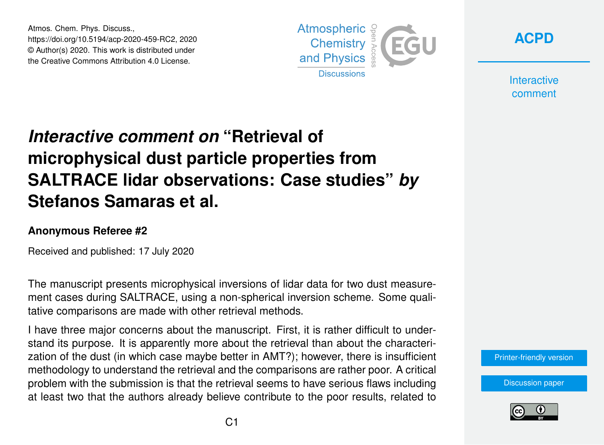Atmos. Chem. Phys. Discuss., https://doi.org/10.5194/acp-2020-459-RC2, 2020 © Author(s) 2020. This work is distributed under the Creative Commons Attribution 4.0 License.



**[ACPD](https://www.atmos-chem-phys-discuss.net/)**

**Interactive** comment

# *Interactive comment on* **"Retrieval of microphysical dust particle properties from SALTRACE lidar observations: Case studies"** *by* **Stefanos Samaras et al.**

#### **Anonymous Referee #2**

Received and published: 17 July 2020

The manuscript presents microphysical inversions of lidar data for two dust measurement cases during SALTRACE, using a non-spherical inversion scheme. Some qualitative comparisons are made with other retrieval methods.

I have three major concerns about the manuscript. First, it is rather difficult to understand its purpose. It is apparently more about the retrieval than about the characterization of the dust (in which case maybe better in AMT?); however, there is insufficient methodology to understand the retrieval and the comparisons are rather poor. A critical problem with the submission is that the retrieval seems to have serious flaws including at least two that the authors already believe contribute to the poor results, related to

[Printer-friendly version](https://www.atmos-chem-phys-discuss.net/acp-2020-459/acp-2020-459-RC2-print.pdf)

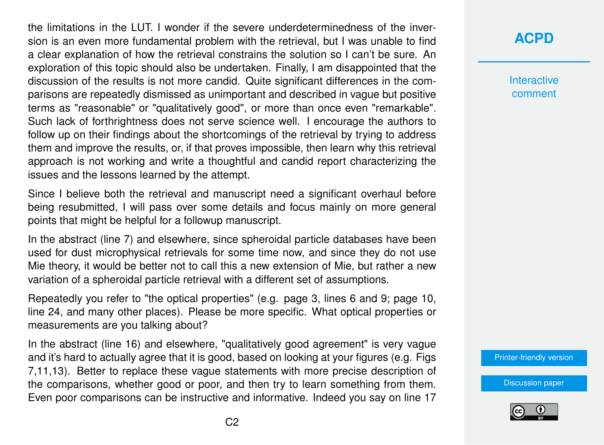the limitations in the LUT. I wonder if the severe underdeterminedness of the inversion is an even more fundamental problem with the retrieval, but I was unable to find a clear explanation of how the retrieval constrains the solution so I can't be sure. An exploration of this topic should also be undertaken. Finally, I am disappointed that the discussion of the results is not more candid. Quite significant differences in the comparisons are repeatedly dismissed as unimportant and described in vague but positive terms as "reasonable" or "qualitatively good", or more than once even "remarkable". Such lack of forthrightness does not serve science well. I encourage the authors to follow up on their findings about the shortcomings of the retrieval by trying to address them and improve the results, or, if that proves impossible, then learn why this retrieval approach is not working and write a thoughtful and candid report characterizing the issues and the lessons learned by the attempt.

Since I believe both the retrieval and manuscript need a significant overhaul before being resubmitted, I will pass over some details and focus mainly on more general points that might be helpful for a followup manuscript.

In the abstract (line 7) and elsewhere, since spheroidal particle databases have been used for dust microphysical retrievals for some time now, and since they do not use Mie theory, it would be better not to call this a new extension of Mie, but rather a new variation of a spheroidal particle retrieval with a different set of assumptions.

Repeatedly you refer to "the optical properties" (e.g. page 3, lines 6 and 9; page 10, line 24, and many other places). Please be more specific. What optical properties or measurements are you talking about?

In the abstract (line 16) and elsewhere, "qualitatively good agreement" is very vague and it's hard to actually agree that it is good, based on looking at your figures (e.g. Figs 7,11,13). Better to replace these vague statements with more precise description of the comparisons, whether good or poor, and then try to learn something from them. Even poor comparisons can be instructive and informative. Indeed you say on line 17 **[ACPD](https://www.atmos-chem-phys-discuss.net/)**

**Interactive** comment

[Printer-friendly version](https://www.atmos-chem-phys-discuss.net/acp-2020-459/acp-2020-459-RC2-print.pdf)

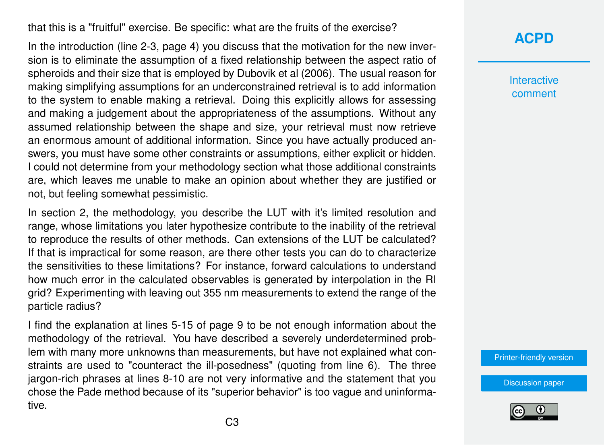that this is a "fruitful" exercise. Be specific: what are the fruits of the exercise?

In the introduction (line 2-3, page 4) you discuss that the motivation for the new inversion is to eliminate the assumption of a fixed relationship between the aspect ratio of spheroids and their size that is employed by Dubovik et al (2006). The usual reason for making simplifying assumptions for an underconstrained retrieval is to add information to the system to enable making a retrieval. Doing this explicitly allows for assessing and making a judgement about the appropriateness of the assumptions. Without any assumed relationship between the shape and size, your retrieval must now retrieve an enormous amount of additional information. Since you have actually produced answers, you must have some other constraints or assumptions, either explicit or hidden. I could not determine from your methodology section what those additional constraints are, which leaves me unable to make an opinion about whether they are justified or not, but feeling somewhat pessimistic.

In section 2, the methodology, you describe the LUT with it's limited resolution and range, whose limitations you later hypothesize contribute to the inability of the retrieval to reproduce the results of other methods. Can extensions of the LUT be calculated? If that is impractical for some reason, are there other tests you can do to characterize the sensitivities to these limitations? For instance, forward calculations to understand how much error in the calculated observables is generated by interpolation in the RI grid? Experimenting with leaving out 355 nm measurements to extend the range of the particle radius?

I find the explanation at lines 5-15 of page 9 to be not enough information about the methodology of the retrieval. You have described a severely underdetermined problem with many more unknowns than measurements, but have not explained what constraints are used to "counteract the ill-posedness" (quoting from line 6). The three jargon-rich phrases at lines 8-10 are not very informative and the statement that you chose the Pade method because of its "superior behavior" is too vague and uninformative.

#### **[ACPD](https://www.atmos-chem-phys-discuss.net/)**

**Interactive** comment

[Printer-friendly version](https://www.atmos-chem-phys-discuss.net/acp-2020-459/acp-2020-459-RC2-print.pdf)

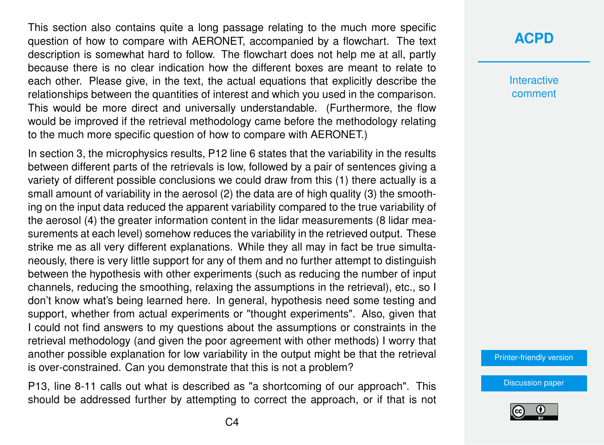This section also contains quite a long passage relating to the much more specific question of how to compare with AERONET, accompanied by a flowchart. The text description is somewhat hard to follow. The flowchart does not help me at all, partly because there is no clear indication how the different boxes are meant to relate to each other. Please give, in the text, the actual equations that explicitly describe the relationships between the quantities of interest and which you used in the comparison. This would be more direct and universally understandable. (Furthermore, the flow would be improved if the retrieval methodology came before the methodology relating to the much more specific question of how to compare with AERONET.)

In section 3, the microphysics results, P12 line 6 states that the variability in the results between different parts of the retrievals is low, followed by a pair of sentences giving a variety of different possible conclusions we could draw from this (1) there actually is a small amount of variability in the aerosol (2) the data are of high quality (3) the smoothing on the input data reduced the apparent variability compared to the true variability of the aerosol (4) the greater information content in the lidar measurements (8 lidar measurements at each level) somehow reduces the variability in the retrieved output. These strike me as all very different explanations. While they all may in fact be true simultaneously, there is very little support for any of them and no further attempt to distinguish between the hypothesis with other experiments (such as reducing the number of input channels, reducing the smoothing, relaxing the assumptions in the retrieval), etc., so I don't know what's being learned here. In general, hypothesis need some testing and support, whether from actual experiments or "thought experiments". Also, given that I could not find answers to my questions about the assumptions or constraints in the retrieval methodology (and given the poor agreement with other methods) I worry that another possible explanation for low variability in the output might be that the retrieval is over-constrained. Can you demonstrate that this is not a problem?

P13, line 8-11 calls out what is described as "a shortcoming of our approach". This should be addressed further by attempting to correct the approach, or if that is not

#### **[ACPD](https://www.atmos-chem-phys-discuss.net/)**

**Interactive** comment

[Printer-friendly version](https://www.atmos-chem-phys-discuss.net/acp-2020-459/acp-2020-459-RC2-print.pdf)

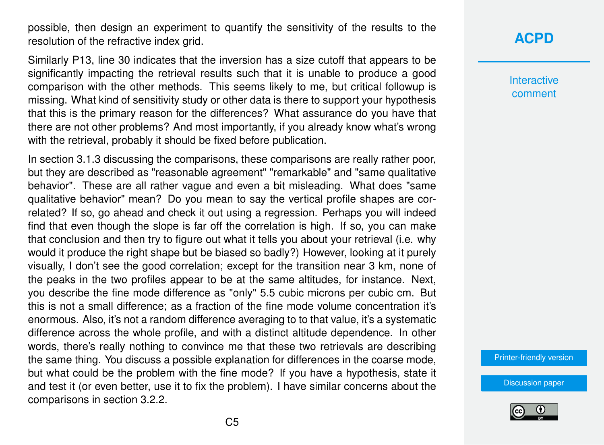possible, then design an experiment to quantify the sensitivity of the results to the resolution of the refractive index grid.

Similarly P13, line 30 indicates that the inversion has a size cutoff that appears to be significantly impacting the retrieval results such that it is unable to produce a good comparison with the other methods. This seems likely to me, but critical followup is missing. What kind of sensitivity study or other data is there to support your hypothesis that this is the primary reason for the differences? What assurance do you have that there are not other problems? And most importantly, if you already know what's wrong with the retrieval, probably it should be fixed before publication.

In section 3.1.3 discussing the comparisons, these comparisons are really rather poor, but they are described as "reasonable agreement" "remarkable" and "same qualitative behavior". These are all rather vague and even a bit misleading. What does "same qualitative behavior" mean? Do you mean to say the vertical profile shapes are correlated? If so, go ahead and check it out using a regression. Perhaps you will indeed find that even though the slope is far off the correlation is high. If so, you can make that conclusion and then try to figure out what it tells you about your retrieval (i.e. why would it produce the right shape but be biased so badly?) However, looking at it purely visually, I don't see the good correlation; except for the transition near 3 km, none of the peaks in the two profiles appear to be at the same altitudes, for instance. Next, you describe the fine mode difference as "only" 5.5 cubic microns per cubic cm. But this is not a small difference; as a fraction of the fine mode volume concentration it's enormous. Also, it's not a random difference averaging to to that value, it's a systematic difference across the whole profile, and with a distinct altitude dependence. In other words, there's really nothing to convince me that these two retrievals are describing the same thing. You discuss a possible explanation for differences in the coarse mode, but what could be the problem with the fine mode? If you have a hypothesis, state it and test it (or even better, use it to fix the problem). I have similar concerns about the comparisons in section 3.2.2.

## **[ACPD](https://www.atmos-chem-phys-discuss.net/)**

**Interactive** comment

[Printer-friendly version](https://www.atmos-chem-phys-discuss.net/acp-2020-459/acp-2020-459-RC2-print.pdf)

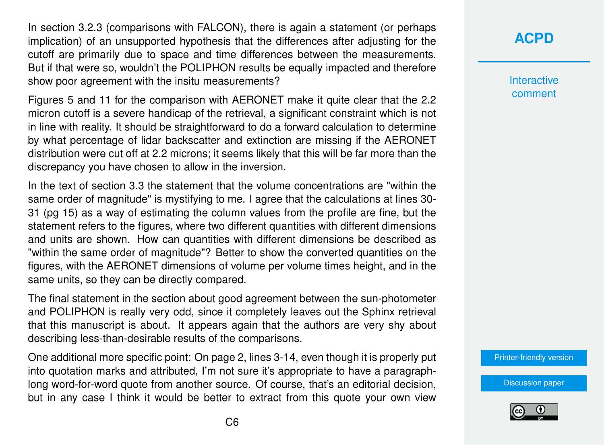In section 3.2.3 (comparisons with FALCON), there is again a statement (or perhaps implication) of an unsupported hypothesis that the differences after adjusting for the cutoff are primarily due to space and time differences between the measurements. But if that were so, wouldn't the POLIPHON results be equally impacted and therefore show poor agreement with the insitu measurements?

Figures 5 and 11 for the comparison with AERONET make it quite clear that the 2.2 micron cutoff is a severe handicap of the retrieval, a significant constraint which is not in line with reality. It should be straightforward to do a forward calculation to determine by what percentage of lidar backscatter and extinction are missing if the AERONET distribution were cut off at 2.2 microns; it seems likely that this will be far more than the discrepancy you have chosen to allow in the inversion.

In the text of section 3.3 the statement that the volume concentrations are "within the same order of magnitude" is mystifying to me. I agree that the calculations at lines 30- 31 (pg 15) as a way of estimating the column values from the profile are fine, but the statement refers to the figures, where two different quantities with different dimensions and units are shown. How can quantities with different dimensions be described as "within the same order of magnitude"? Better to show the converted quantities on the figures, with the AERONET dimensions of volume per volume times height, and in the same units, so they can be directly compared.

The final statement in the section about good agreement between the sun-photometer and POLIPHON is really very odd, since it completely leaves out the Sphinx retrieval that this manuscript is about. It appears again that the authors are very shy about describing less-than-desirable results of the comparisons.

One additional more specific point: On page 2, lines 3-14, even though it is properly put into quotation marks and attributed, I'm not sure it's appropriate to have a paragraphlong word-for-word quote from another source. Of course, that's an editorial decision, but in any case I think it would be better to extract from this quote your own view **[ACPD](https://www.atmos-chem-phys-discuss.net/)**

**Interactive** comment

[Printer-friendly version](https://www.atmos-chem-phys-discuss.net/acp-2020-459/acp-2020-459-RC2-print.pdf)